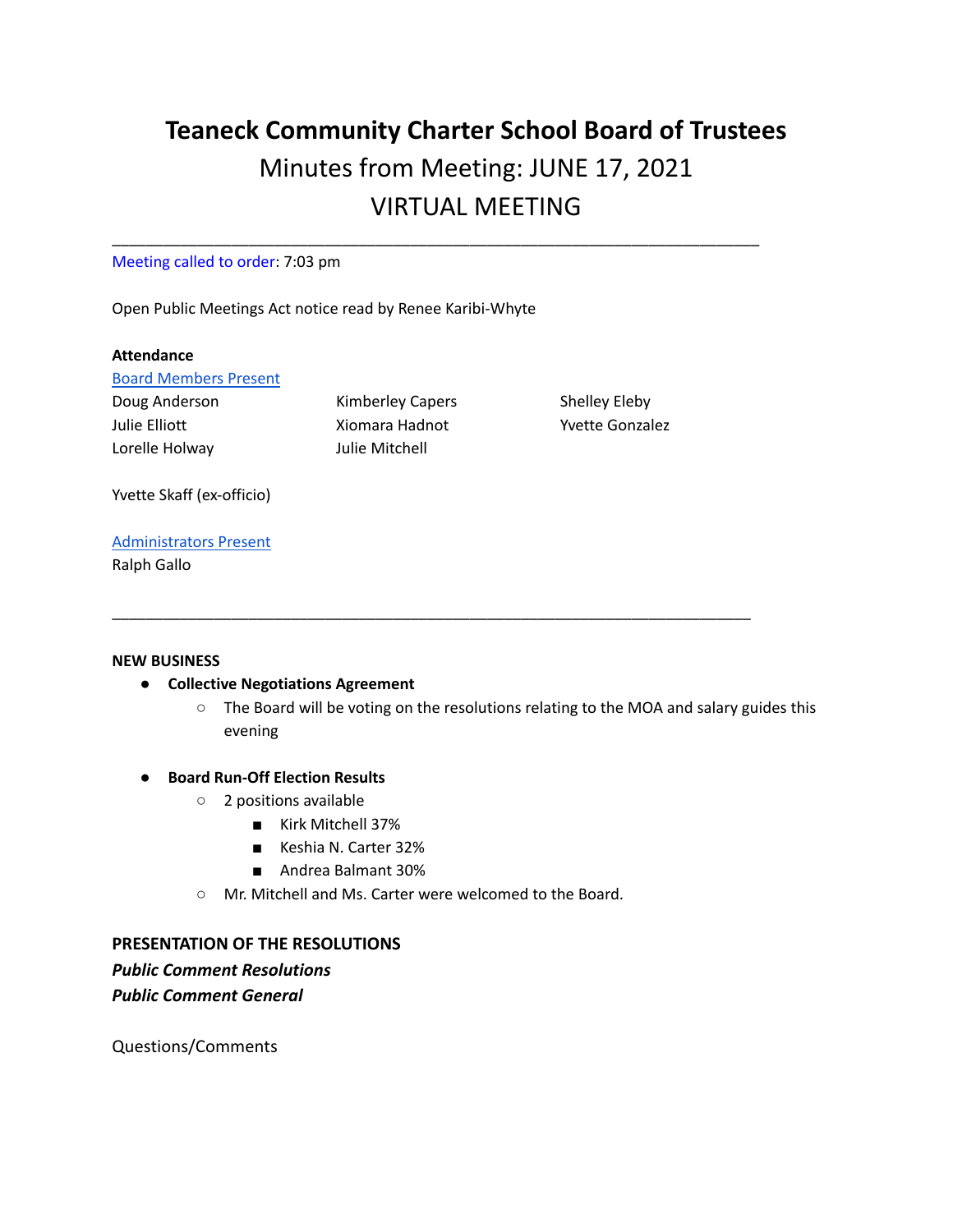# **Teaneck Community Charter School Board of Trustees** Minutes from Meeting: JUNE 17, 2021 VIRTUAL MEETING

\_\_\_\_\_\_\_\_\_\_\_\_\_\_\_\_\_\_\_\_\_\_\_\_\_\_\_\_\_\_\_\_\_\_\_\_\_\_\_\_\_\_\_\_\_\_\_\_\_\_\_\_\_\_\_\_\_\_\_\_\_\_\_\_\_\_\_\_\_\_\_\_\_\_\_\_

Meeting called to order: 7:03 pm

Open Public Meetings Act notice read by Renee Karibi-Whyte

#### **Attendance**

Board Members Present

Lorelle Holway Julie Mitchell

Doug Anderson **Kimberley Capers** Shelley Eleby Julie Elliott Xiomara Hadnot Yvette Gonzalez

\_\_\_\_\_\_\_\_\_\_\_\_\_\_\_\_\_\_\_\_\_\_\_\_\_\_\_\_\_\_\_\_\_\_\_\_\_\_\_\_\_\_\_\_\_\_\_\_\_\_\_\_\_\_\_\_\_\_\_\_\_\_\_\_\_\_\_\_\_\_\_\_\_\_\_

Yvette Skaff (ex-officio)

### Administrators Present

Ralph Gallo

#### **NEW BUSINESS**

- **● Collective Negotiations Agreement**
	- The Board will be voting on the resolutions relating to the MOA and salary guides this evening

#### **● Board Run-Off Election Results**

- 2 positions available
	- Kirk Mitchell 37%
	- Keshia N. Carter 32%
	- Andrea Balmant 30%
- Mr. Mitchell and Ms. Carter were welcomed to the Board.

## **PRESENTATION OF THE RESOLUTIONS**

*Public Comment Resolutions Public Comment General*

Questions/Comments